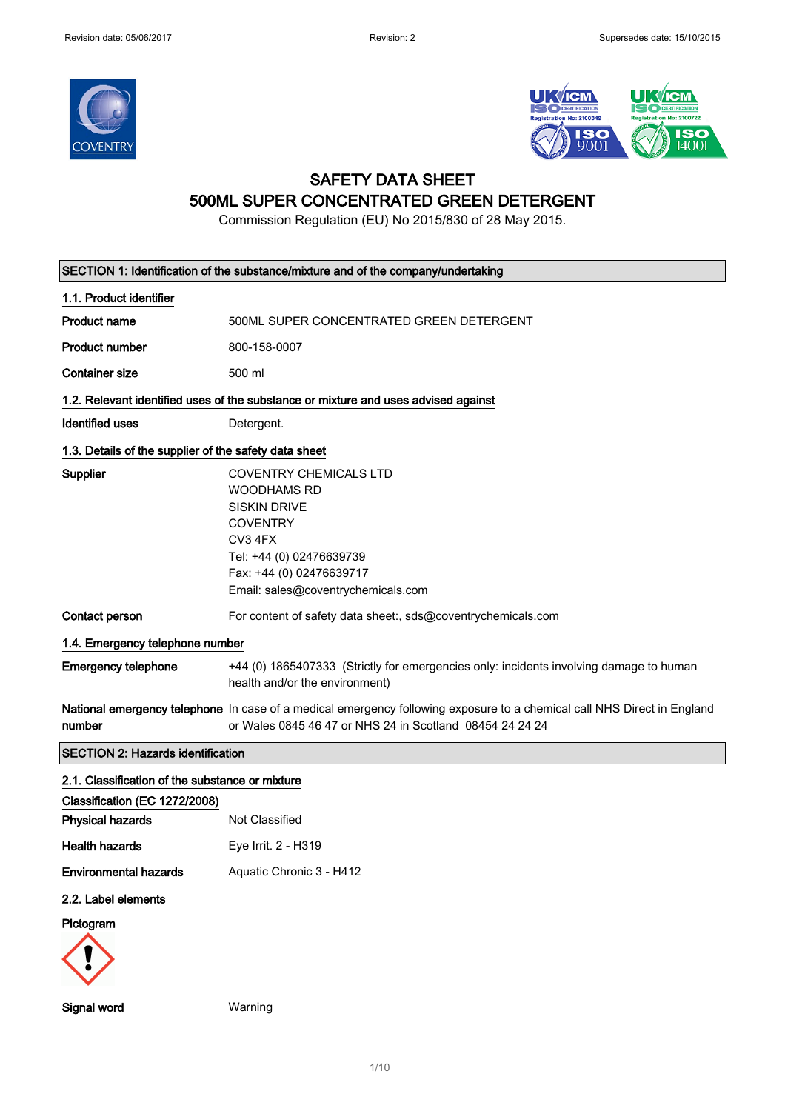



## SAFETY DATA SHEET 500ML SUPER CONCENTRATED GREEN DETERGENT

Commission Regulation (EU) No 2015/830 of 28 May 2015.

| SECTION 1: Identification of the substance/mixture and of the company/undertaking  |                                                                                                                                                                                                        |  |  |
|------------------------------------------------------------------------------------|--------------------------------------------------------------------------------------------------------------------------------------------------------------------------------------------------------|--|--|
| 1.1. Product identifier                                                            |                                                                                                                                                                                                        |  |  |
| <b>Product name</b>                                                                | 500ML SUPER CONCENTRATED GREEN DETERGENT                                                                                                                                                               |  |  |
| <b>Product number</b>                                                              | 800-158-0007                                                                                                                                                                                           |  |  |
| <b>Container size</b>                                                              | 500 ml                                                                                                                                                                                                 |  |  |
| 1.2. Relevant identified uses of the substance or mixture and uses advised against |                                                                                                                                                                                                        |  |  |
| <b>Identified uses</b>                                                             | Detergent.                                                                                                                                                                                             |  |  |
| 1.3. Details of the supplier of the safety data sheet                              |                                                                                                                                                                                                        |  |  |
| Supplier                                                                           | <b>COVENTRY CHEMICALS LTD</b><br><b>WOODHAMS RD</b><br><b>SISKIN DRIVE</b><br><b>COVENTRY</b><br>CV3 4FX<br>Tel: +44 (0) 02476639739<br>Fax: +44 (0) 02476639717<br>Email: sales@coventrychemicals.com |  |  |
| Contact person                                                                     | For content of safety data sheet:, sds@coventrychemicals.com                                                                                                                                           |  |  |
|                                                                                    | 1.4. Emergency telephone number                                                                                                                                                                        |  |  |
| <b>Emergency telephone</b>                                                         | +44 (0) 1865407333 (Strictly for emergencies only: incidents involving damage to human<br>health and/or the environment)                                                                               |  |  |
|                                                                                    |                                                                                                                                                                                                        |  |  |
| number                                                                             | National emergency telephone In case of a medical emergency following exposure to a chemical call NHS Direct in England<br>or Wales 0845 46 47 or NHS 24 in Scotland 08454 24 24 24                    |  |  |
| <b>SECTION 2: Hazards identification</b>                                           |                                                                                                                                                                                                        |  |  |
| 2.1. Classification of the substance or mixture                                    |                                                                                                                                                                                                        |  |  |
| Classification (EC 1272/2008)                                                      |                                                                                                                                                                                                        |  |  |
| <b>Physical hazards</b>                                                            | Not Classified                                                                                                                                                                                         |  |  |
| <b>Health hazards</b>                                                              | Eye Irrit. 2 - H319                                                                                                                                                                                    |  |  |
| <b>Environmental hazards</b>                                                       | Aquatic Chronic 3 - H412                                                                                                                                                                               |  |  |
| 2.2. Label elements                                                                |                                                                                                                                                                                                        |  |  |
| Pictogram                                                                          |                                                                                                                                                                                                        |  |  |

1/ 10

Signal word Warning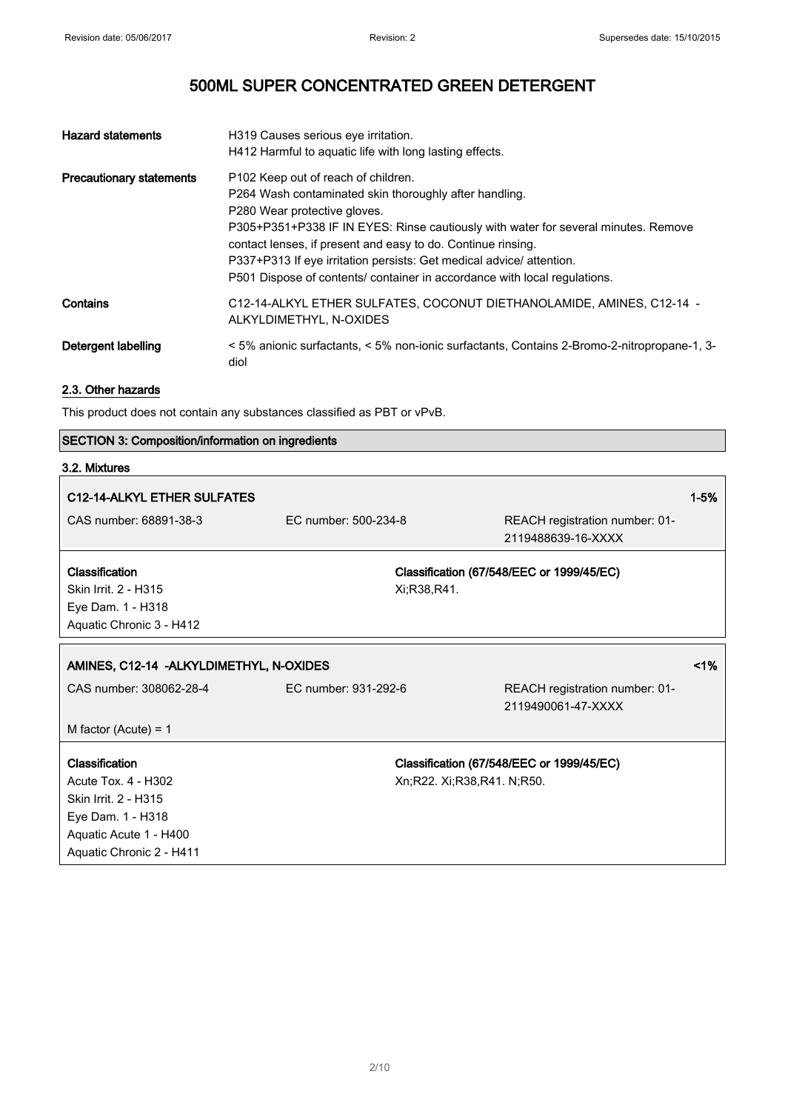| <b>Hazard statements</b>        | H319 Causes serious eye irritation.<br>H412 Harmful to aquatic life with long lasting effects.                                                                                                                                                                                                                                                                                                                                           |
|---------------------------------|------------------------------------------------------------------------------------------------------------------------------------------------------------------------------------------------------------------------------------------------------------------------------------------------------------------------------------------------------------------------------------------------------------------------------------------|
| <b>Precautionary statements</b> | P102 Keep out of reach of children.<br>P264 Wash contaminated skin thoroughly after handling.<br>P280 Wear protective gloves.<br>P305+P351+P338 IF IN EYES: Rinse cautiously with water for several minutes. Remove<br>contact lenses, if present and easy to do. Continue rinsing.<br>P337+P313 If eye irritation persists: Get medical advice/ attention.<br>P501 Dispose of contents/ container in accordance with local regulations. |
| Contains                        | C12-14-ALKYL ETHER SULFATES, COCONUT DIETHANOLAMIDE, AMINES, C12-14 -<br>ALKYLDIMETHYL, N-OXIDES                                                                                                                                                                                                                                                                                                                                         |
| Detergent labelling             | <5% anionic surfactants, <5% non-ionic surfactants, Contains 2-Bromo-2-nitropropane-1, 3-<br>diol                                                                                                                                                                                                                                                                                                                                        |

### 2.3. Other hazards

This product does not contain any substances classified as PBT or vPvB.

### SECTION 3: Composition/information on ingredients

### 3.2. Mixtures

|                                          |                                                      | $1 - 5%$                                                                                                             |
|------------------------------------------|------------------------------------------------------|----------------------------------------------------------------------------------------------------------------------|
| EC number: 500-234-8                     | REACH registration number: 01-<br>2119488639-16-XXXX |                                                                                                                      |
| Xi;R38,R41.                              |                                                      |                                                                                                                      |
| AMINES, C12-14 - ALKYLDIMETHYL, N-OXIDES |                                                      | $1\%$                                                                                                                |
| EC number: 931-292-6                     | REACH registration number: 01-<br>2119490061-47-XXXX |                                                                                                                      |
|                                          |                                                      |                                                                                                                      |
|                                          |                                                      |                                                                                                                      |
|                                          |                                                      | Classification (67/548/EEC or 1999/45/EC)<br>Classification (67/548/EEC or 1999/45/EC)<br>Xn;R22. Xi;R38,R41. N;R50. |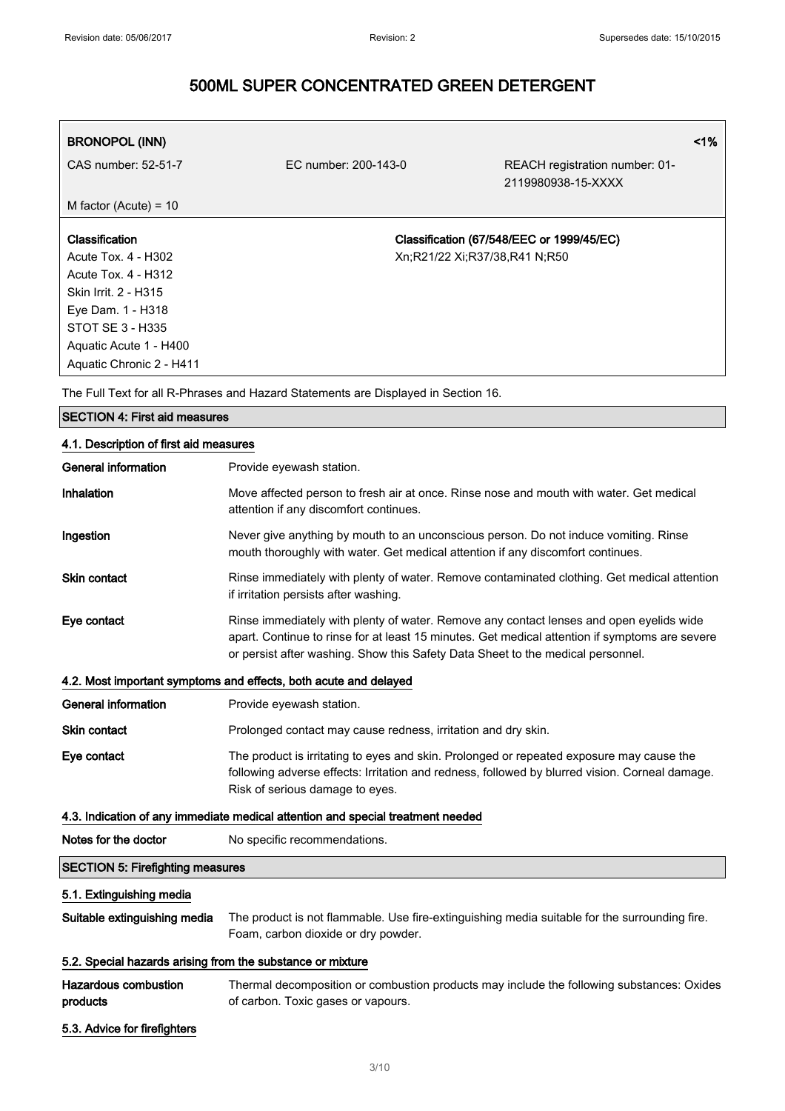| <b>BRONOPOL (INN)</b><br>CAS number: 52-51-7 | EC number: 200-143-0 | REACH registration number: 01-<br>2119980938-15-XXXX | $1\%$ |
|----------------------------------------------|----------------------|------------------------------------------------------|-------|
| M factor (Acute) = $10$                      |                      |                                                      |       |
| <b>Classification</b>                        |                      | Classification (67/548/EEC or 1999/45/EC)            |       |
| Acute Tox. 4 - H302                          |                      | Xn;R21/22 Xi;R37/38,R41 N;R50                        |       |
| Acute Tox. 4 - H312                          |                      |                                                      |       |
| Skin Irrit. 2 - H315                         |                      |                                                      |       |
| Eye Dam. 1 - H318                            |                      |                                                      |       |
| STOT SE 3 - H335                             |                      |                                                      |       |
| Aquatic Acute 1 - H400                       |                      |                                                      |       |
| Aquatic Chronic 2 - H411                     |                      |                                                      |       |

The Full Text for all R-Phrases and Hazard Statements are Displayed in Section 16.

## SECTION 4: First aid measures

### 4.1. Description of first aid measures

| <b>General information</b>                                 | Provide eyewash station.                                                                                                                                                                                                                                                     |
|------------------------------------------------------------|------------------------------------------------------------------------------------------------------------------------------------------------------------------------------------------------------------------------------------------------------------------------------|
| Inhalation                                                 | Move affected person to fresh air at once. Rinse nose and mouth with water. Get medical<br>attention if any discomfort continues.                                                                                                                                            |
| Ingestion                                                  | Never give anything by mouth to an unconscious person. Do not induce vomiting. Rinse<br>mouth thoroughly with water. Get medical attention if any discomfort continues.                                                                                                      |
| Skin contact                                               | Rinse immediately with plenty of water. Remove contaminated clothing. Get medical attention<br>if irritation persists after washing.                                                                                                                                         |
| Eye contact                                                | Rinse immediately with plenty of water. Remove any contact lenses and open eyelids wide<br>apart. Continue to rinse for at least 15 minutes. Get medical attention if symptoms are severe<br>or persist after washing. Show this Safety Data Sheet to the medical personnel. |
|                                                            | 4.2. Most important symptoms and effects, both acute and delayed                                                                                                                                                                                                             |
| General information                                        | Provide eyewash station.                                                                                                                                                                                                                                                     |
| <b>Skin contact</b>                                        | Prolonged contact may cause redness, irritation and dry skin.                                                                                                                                                                                                                |
| Eye contact                                                | The product is irritating to eyes and skin. Prolonged or repeated exposure may cause the<br>following adverse effects: Irritation and redness, followed by blurred vision. Corneal damage.<br>Risk of serious damage to eyes.                                                |
|                                                            | 4.3. Indication of any immediate medical attention and special treatment needed                                                                                                                                                                                              |
| Notes for the doctor                                       | No specific recommendations.                                                                                                                                                                                                                                                 |
| <b>SECTION 5: Firefighting measures</b>                    |                                                                                                                                                                                                                                                                              |
| 5.1. Extinguishing media                                   |                                                                                                                                                                                                                                                                              |
| Suitable extinguishing media                               | The product is not flammable. Use fire-extinguishing media suitable for the surrounding fire.<br>Foam, carbon dioxide or dry powder.                                                                                                                                         |
| 5.2. Special hazards arising from the substance or mixture |                                                                                                                                                                                                                                                                              |
| <b>Hazardous combustion</b><br>products                    | Thermal decomposition or combustion products may include the following substances: Oxides<br>of carbon. Toxic gases or vapours.                                                                                                                                              |
| 5.3. Advice for firefighters                               |                                                                                                                                                                                                                                                                              |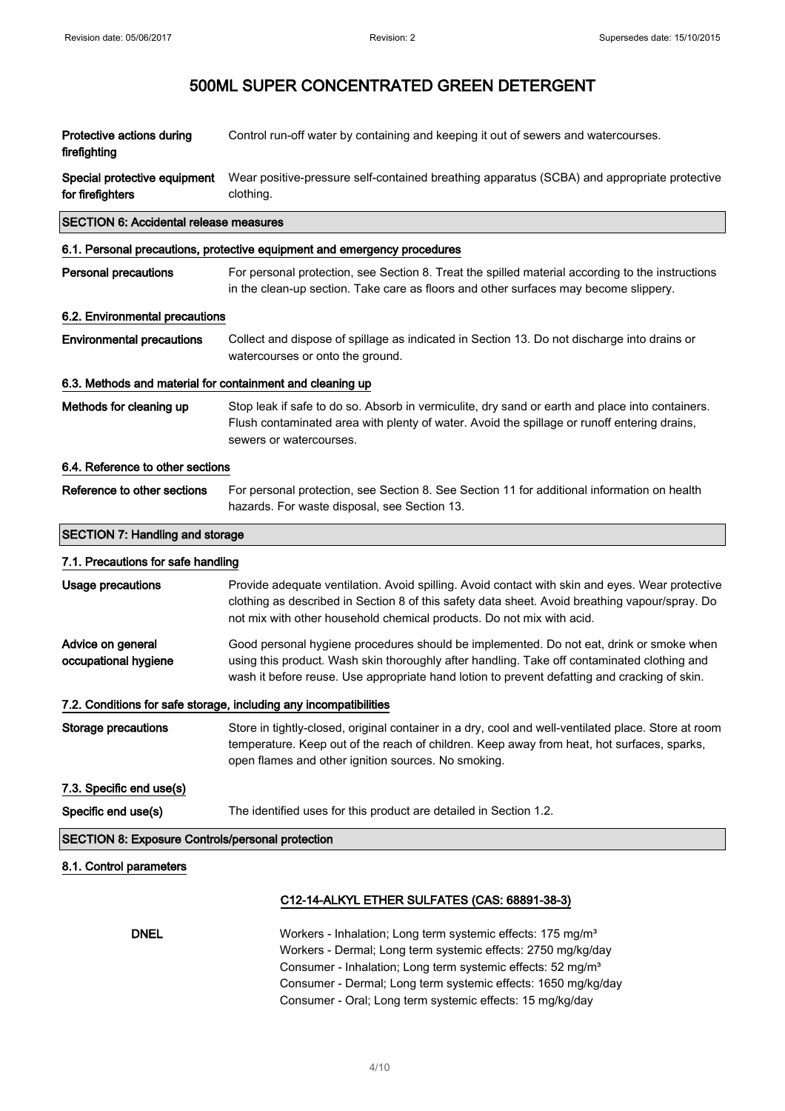| Protective actions during<br>firefighting                 | Control run-off water by containing and keeping it out of sewers and watercourses.                                                                                                                                                                                                                                                               |  |
|-----------------------------------------------------------|--------------------------------------------------------------------------------------------------------------------------------------------------------------------------------------------------------------------------------------------------------------------------------------------------------------------------------------------------|--|
| Special protective equipment<br>for firefighters          | Wear positive-pressure self-contained breathing apparatus (SCBA) and appropriate protective<br>clothing.                                                                                                                                                                                                                                         |  |
| <b>SECTION 6: Accidental release measures</b>             |                                                                                                                                                                                                                                                                                                                                                  |  |
|                                                           | 6.1. Personal precautions, protective equipment and emergency procedures                                                                                                                                                                                                                                                                         |  |
| <b>Personal precautions</b>                               | For personal protection, see Section 8. Treat the spilled material according to the instructions<br>in the clean-up section. Take care as floors and other surfaces may become slippery.                                                                                                                                                         |  |
| 6.2. Environmental precautions                            |                                                                                                                                                                                                                                                                                                                                                  |  |
| <b>Environmental precautions</b>                          | Collect and dispose of spillage as indicated in Section 13. Do not discharge into drains or<br>watercourses or onto the ground.                                                                                                                                                                                                                  |  |
| 6.3. Methods and material for containment and cleaning up |                                                                                                                                                                                                                                                                                                                                                  |  |
| Methods for cleaning up                                   | Stop leak if safe to do so. Absorb in vermiculite, dry sand or earth and place into containers.<br>Flush contaminated area with plenty of water. Avoid the spillage or runoff entering drains,<br>sewers or watercourses.                                                                                                                        |  |
| 6.4. Reference to other sections                          |                                                                                                                                                                                                                                                                                                                                                  |  |
| Reference to other sections                               | For personal protection, see Section 8. See Section 11 for additional information on health<br>hazards. For waste disposal, see Section 13.                                                                                                                                                                                                      |  |
| <b>SECTION 7: Handling and storage</b>                    |                                                                                                                                                                                                                                                                                                                                                  |  |
| 7.1. Precautions for safe handling                        |                                                                                                                                                                                                                                                                                                                                                  |  |
| <b>Usage precautions</b>                                  | Provide adequate ventilation. Avoid spilling. Avoid contact with skin and eyes. Wear protective<br>clothing as described in Section 8 of this safety data sheet. Avoid breathing vapour/spray. Do<br>not mix with other household chemical products. Do not mix with acid.                                                                       |  |
| Advice on general<br>occupational hygiene                 | Good personal hygiene procedures should be implemented. Do not eat, drink or smoke when<br>using this product. Wash skin thoroughly after handling. Take off contaminated clothing and<br>wash it before reuse. Use appropriate hand lotion to prevent defatting and cracking of skin.                                                           |  |
|                                                           | 7.2. Conditions for safe storage, including any incompatibilities                                                                                                                                                                                                                                                                                |  |
| Storage precautions                                       | Store in tightly-closed, original container in a dry, cool and well-ventilated place. Store at room<br>temperature. Keep out of the reach of children. Keep away from heat, hot surfaces, sparks,<br>open flames and other ignition sources. No smoking.                                                                                         |  |
| 7.3. Specific end use(s)                                  |                                                                                                                                                                                                                                                                                                                                                  |  |
| Specific end use(s)                                       | The identified uses for this product are detailed in Section 1.2.                                                                                                                                                                                                                                                                                |  |
| <b>SECTION 8: Exposure Controls/personal protection</b>   |                                                                                                                                                                                                                                                                                                                                                  |  |
| 8.1. Control parameters                                   |                                                                                                                                                                                                                                                                                                                                                  |  |
|                                                           | C12-14-ALKYL ETHER SULFATES (CAS: 68891-38-3)                                                                                                                                                                                                                                                                                                    |  |
| <b>DNEL</b>                                               | Workers - Inhalation; Long term systemic effects: 175 mg/m <sup>3</sup><br>Workers - Dermal; Long term systemic effects: 2750 mg/kg/day<br>Consumer - Inhalation; Long term systemic effects: 52 mg/m <sup>3</sup><br>Consumer - Dermal; Long term systemic effects: 1650 mg/kg/day<br>Consumer - Oral; Long term systemic effects: 15 mg/kg/day |  |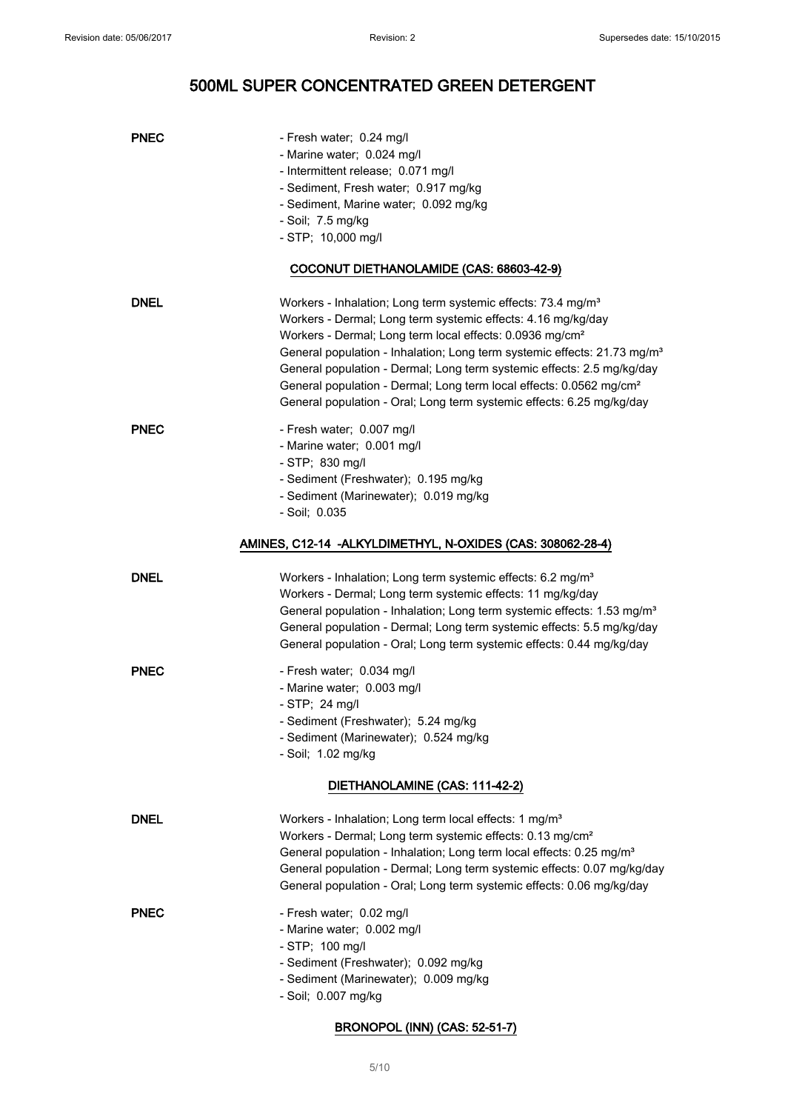| <b>PNEC</b> | - Fresh water; 0.24 mg/l                                                             |
|-------------|--------------------------------------------------------------------------------------|
|             | - Marine water; 0.024 mg/l                                                           |
|             | - Intermittent release; 0.071 mg/l                                                   |
|             | - Sediment, Fresh water; 0.917 mg/kg                                                 |
|             | - Sediment, Marine water; 0.092 mg/kg                                                |
|             | - Soil; 7.5 mg/kg                                                                    |
|             | $-$ STP; 10,000 mg/l                                                                 |
|             | COCONUT DIETHANOLAMIDE (CAS: 68603-42-9)                                             |
| <b>DNEL</b> | Workers - Inhalation; Long term systemic effects: 73.4 mg/m <sup>3</sup>             |
|             | Workers - Dermal; Long term systemic effects: 4.16 mg/kg/day                         |
|             | Workers - Dermal; Long term local effects: 0.0936 mg/cm <sup>2</sup>                 |
|             | General population - Inhalation; Long term systemic effects: 21.73 mg/m <sup>3</sup> |
|             | General population - Dermal; Long term systemic effects: 2.5 mg/kg/day               |
|             | General population - Dermal; Long term local effects: 0.0562 mg/cm <sup>2</sup>      |
|             | General population - Oral; Long term systemic effects: 6.25 mg/kg/day                |
| <b>PNEC</b> | - Fresh water; 0.007 mg/l                                                            |
|             | - Marine water; 0.001 mg/l                                                           |
|             | $-$ STP; 830 mg/l                                                                    |
|             | - Sediment (Freshwater); 0.195 mg/kg                                                 |
|             | - Sediment (Marinewater); 0.019 mg/kg                                                |
|             | - Soil; 0.035                                                                        |
|             | AMINES, C12-14 -ALKYLDIMETHYL, N-OXIDES (CAS: 308062-28-4)                           |
| <b>DNEL</b> | Workers - Inhalation; Long term systemic effects: 6.2 mg/m <sup>3</sup>              |
|             | Workers - Dermal; Long term systemic effects: 11 mg/kg/day                           |
|             | General population - Inhalation; Long term systemic effects: 1.53 mg/m <sup>3</sup>  |
|             | General population - Dermal; Long term systemic effects: 5.5 mg/kg/day               |
|             | General population - Oral; Long term systemic effects: 0.44 mg/kg/day                |
| <b>PNEC</b> | - Fresh water; 0.034 mg/l                                                            |
|             | - Marine water; 0.003 mg/l                                                           |
|             | $-$ STP; 24 mg/l                                                                     |
|             | - Sediment (Freshwater); 5.24 mg/kg                                                  |
|             | - Sediment (Marinewater); 0.524 mg/kg                                                |
|             | - Soil; 1.02 mg/kg                                                                   |
|             | DIETHANOLAMINE (CAS: 111-42-2)                                                       |
| <b>DNEL</b> | Workers - Inhalation; Long term local effects: 1 mg/m <sup>3</sup>                   |
|             | Workers - Dermal; Long term systemic effects: 0.13 mg/cm <sup>2</sup>                |
|             | General population - Inhalation; Long term local effects: 0.25 mg/m <sup>3</sup>     |
|             | General population - Dermal; Long term systemic effects: 0.07 mg/kg/day              |
|             | General population - Oral; Long term systemic effects: 0.06 mg/kg/day                |
| <b>PNEC</b> | - Fresh water; 0.02 mg/l                                                             |
|             | - Marine water; 0.002 mg/l                                                           |
|             | $-$ STP; 100 mg/l                                                                    |
|             | - Sediment (Freshwater); 0.092 mg/kg                                                 |
|             | - Sediment (Marinewater); 0.009 mg/kg                                                |
|             | - Soil; 0.007 mg/kg                                                                  |
|             |                                                                                      |

### BRONOPOL (INN) (CAS: 52-51-7)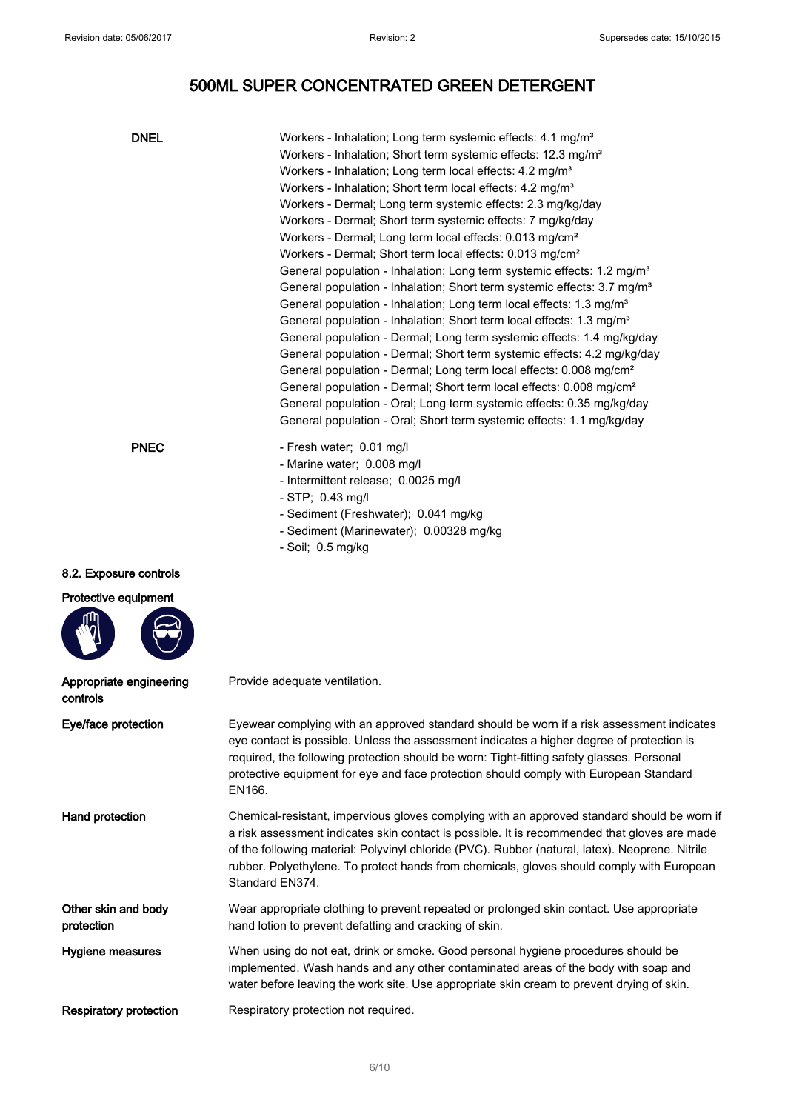| <b>DNEL</b>                         | Workers - Inhalation; Long term systemic effects: 4.1 mg/m <sup>3</sup><br>Workers - Inhalation; Short term systemic effects: 12.3 mg/m <sup>3</sup><br>Workers - Inhalation; Long term local effects: 4.2 mg/m <sup>3</sup><br>Workers - Inhalation; Short term local effects: 4.2 mg/m <sup>3</sup><br>Workers - Dermal; Long term systemic effects: 2.3 mg/kg/day<br>Workers - Dermal; Short term systemic effects: 7 mg/kg/day<br>Workers - Dermal; Long term local effects: 0.013 mg/cm <sup>2</sup><br>Workers - Dermal; Short term local effects: 0.013 mg/cm <sup>2</sup><br>General population - Inhalation; Long term systemic effects: 1.2 mg/m <sup>3</sup><br>General population - Inhalation; Short term systemic effects: 3.7 mg/m <sup>3</sup><br>General population - Inhalation; Long term local effects: 1.3 mg/m <sup>3</sup><br>General population - Inhalation; Short term local effects: 1.3 mg/m <sup>3</sup><br>General population - Dermal; Long term systemic effects: 1.4 mg/kg/day<br>General population - Dermal; Short term systemic effects: 4.2 mg/kg/day<br>General population - Dermal; Long term local effects: 0.008 mg/cm <sup>2</sup><br>General population - Dermal; Short term local effects: 0.008 mg/cm <sup>2</sup><br>General population - Oral; Long term systemic effects: 0.35 mg/kg/day<br>General population - Oral; Short term systemic effects: 1.1 mg/kg/day |
|-------------------------------------|-------------------------------------------------------------------------------------------------------------------------------------------------------------------------------------------------------------------------------------------------------------------------------------------------------------------------------------------------------------------------------------------------------------------------------------------------------------------------------------------------------------------------------------------------------------------------------------------------------------------------------------------------------------------------------------------------------------------------------------------------------------------------------------------------------------------------------------------------------------------------------------------------------------------------------------------------------------------------------------------------------------------------------------------------------------------------------------------------------------------------------------------------------------------------------------------------------------------------------------------------------------------------------------------------------------------------------------------------------------------------------------------------------------------|
| <b>PNEC</b>                         | - Fresh water; 0.01 mg/l<br>- Marine water; 0.008 mg/l<br>- Intermittent release; 0.0025 mg/l<br>- STP; 0.43 mg/l<br>- Sediment (Freshwater); 0.041 mg/kg<br>- Sediment (Marinewater); 0.00328 mg/kg<br>- Soil; 0.5 mg/kg                                                                                                                                                                                                                                                                                                                                                                                                                                                                                                                                                                                                                                                                                                                                                                                                                                                                                                                                                                                                                                                                                                                                                                                         |
| 8.2. Exposure controls              |                                                                                                                                                                                                                                                                                                                                                                                                                                                                                                                                                                                                                                                                                                                                                                                                                                                                                                                                                                                                                                                                                                                                                                                                                                                                                                                                                                                                                   |
| Protective equipment                |                                                                                                                                                                                                                                                                                                                                                                                                                                                                                                                                                                                                                                                                                                                                                                                                                                                                                                                                                                                                                                                                                                                                                                                                                                                                                                                                                                                                                   |
| Appropriate engineering<br>controls | Provide adequate ventilation.                                                                                                                                                                                                                                                                                                                                                                                                                                                                                                                                                                                                                                                                                                                                                                                                                                                                                                                                                                                                                                                                                                                                                                                                                                                                                                                                                                                     |
| Eye/face protection                 | Eyewear complying with an approved standard should be worn if a risk assessment indicates<br>eye contact is possible. Unless the assessment indicates a higher degree of protection is<br>required, the following protection should be worn: Tight-fitting safety glasses. Personal<br>protective equipment for eye and face protection should comply with European Standard<br>EN166.                                                                                                                                                                                                                                                                                                                                                                                                                                                                                                                                                                                                                                                                                                                                                                                                                                                                                                                                                                                                                            |
| Hand protection                     | Chemical-resistant, impervious gloves complying with an approved standard should be worn if<br>a risk assessment indicates skin contact is possible. It is recommended that gloves are made<br>of the following material: Polyvinyl chloride (PVC). Rubber (natural, latex). Neoprene. Nitrile<br>rubber. Polyethylene. To protect hands from chemicals, gloves should comply with European<br>Standard EN374.                                                                                                                                                                                                                                                                                                                                                                                                                                                                                                                                                                                                                                                                                                                                                                                                                                                                                                                                                                                                    |
| Other skin and body<br>protection   | Wear appropriate clothing to prevent repeated or prolonged skin contact. Use appropriate<br>hand lotion to prevent defatting and cracking of skin.                                                                                                                                                                                                                                                                                                                                                                                                                                                                                                                                                                                                                                                                                                                                                                                                                                                                                                                                                                                                                                                                                                                                                                                                                                                                |
| Hygiene measures                    | When using do not eat, drink or smoke. Good personal hygiene procedures should be<br>implemented. Wash hands and any other contaminated areas of the body with soap and<br>water before leaving the work site. Use appropriate skin cream to prevent drying of skin.                                                                                                                                                                                                                                                                                                                                                                                                                                                                                                                                                                                                                                                                                                                                                                                                                                                                                                                                                                                                                                                                                                                                              |
| <b>Respiratory protection</b>       | Respiratory protection not required.                                                                                                                                                                                                                                                                                                                                                                                                                                                                                                                                                                                                                                                                                                                                                                                                                                                                                                                                                                                                                                                                                                                                                                                                                                                                                                                                                                              |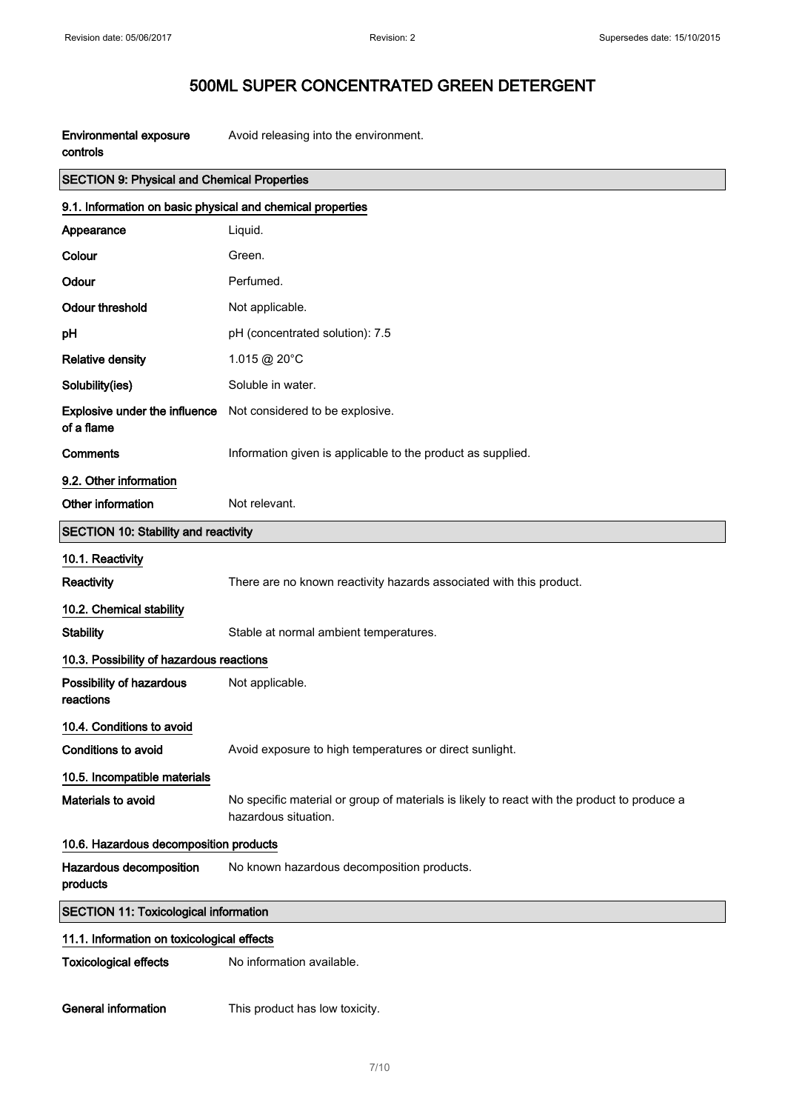| <b>Environmental exposure</b><br>controls                  | Avoid releasing into the environment.                                                                               |
|------------------------------------------------------------|---------------------------------------------------------------------------------------------------------------------|
| <b>SECTION 9: Physical and Chemical Properties</b>         |                                                                                                                     |
| 9.1. Information on basic physical and chemical properties |                                                                                                                     |
| Appearance                                                 | Liquid.                                                                                                             |
| Colour                                                     | Green.                                                                                                              |
| Odour                                                      | Perfumed.                                                                                                           |
| <b>Odour threshold</b>                                     | Not applicable.                                                                                                     |
| pH                                                         | pH (concentrated solution): 7.5                                                                                     |
| <b>Relative density</b>                                    | 1.015 @ 20°C                                                                                                        |
| Solubility(ies)                                            | Soluble in water.                                                                                                   |
| <b>Explosive under the influence</b><br>of a flame         | Not considered to be explosive.                                                                                     |
| <b>Comments</b>                                            | Information given is applicable to the product as supplied.                                                         |
| 9.2. Other information                                     |                                                                                                                     |
| Other information                                          | Not relevant.                                                                                                       |
| <b>SECTION 10: Stability and reactivity</b>                |                                                                                                                     |
| 10.1. Reactivity                                           |                                                                                                                     |
| Reactivity                                                 | There are no known reactivity hazards associated with this product.                                                 |
| 10.2. Chemical stability                                   |                                                                                                                     |
| <b>Stability</b>                                           | Stable at normal ambient temperatures.                                                                              |
| 10.3. Possibility of hazardous reactions                   |                                                                                                                     |
| Possibility of hazardous<br>reactions                      | Not applicable.                                                                                                     |
| 10.4. Conditions to avoid                                  |                                                                                                                     |
| Conditions to avoid                                        | Avoid exposure to high temperatures or direct sunlight.                                                             |
| 10.5. Incompatible materials                               |                                                                                                                     |
| Materials to avoid                                         | No specific material or group of materials is likely to react with the product to produce a<br>hazardous situation. |
| 10.6. Hazardous decomposition products                     |                                                                                                                     |
| Hazardous decomposition<br>products                        | No known hazardous decomposition products.                                                                          |
| <b>SECTION 11: Toxicological information</b>               |                                                                                                                     |
| 11.1. Information on toxicological effects                 |                                                                                                                     |
| <b>Toxicological effects</b>                               | No information available.                                                                                           |
| <b>General information</b>                                 | This product has low toxicity.                                                                                      |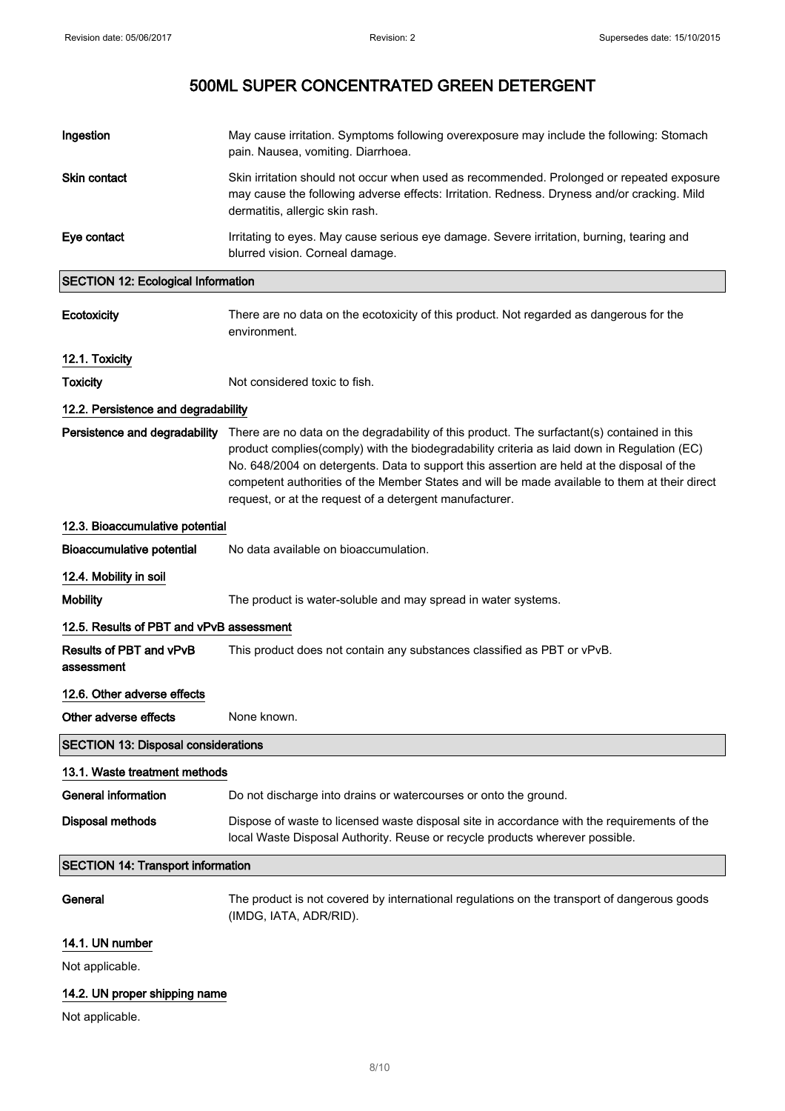| Ingestion                                 | May cause irritation. Symptoms following overexposure may include the following: Stomach<br>pain. Nausea, vomiting. Diarrhoea.                                                                                                                                                                                                                                                                                                                       |
|-------------------------------------------|------------------------------------------------------------------------------------------------------------------------------------------------------------------------------------------------------------------------------------------------------------------------------------------------------------------------------------------------------------------------------------------------------------------------------------------------------|
| <b>Skin contact</b>                       | Skin irritation should not occur when used as recommended. Prolonged or repeated exposure<br>may cause the following adverse effects: Irritation. Redness. Dryness and/or cracking. Mild<br>dermatitis, allergic skin rash.                                                                                                                                                                                                                          |
| Eye contact                               | Irritating to eyes. May cause serious eye damage. Severe irritation, burning, tearing and<br>blurred vision. Corneal damage.                                                                                                                                                                                                                                                                                                                         |
| <b>SECTION 12: Ecological Information</b> |                                                                                                                                                                                                                                                                                                                                                                                                                                                      |
| Ecotoxicity                               | There are no data on the ecotoxicity of this product. Not regarded as dangerous for the<br>environment.                                                                                                                                                                                                                                                                                                                                              |
| 12.1. Toxicity                            |                                                                                                                                                                                                                                                                                                                                                                                                                                                      |
| <b>Toxicity</b>                           | Not considered toxic to fish.                                                                                                                                                                                                                                                                                                                                                                                                                        |
| 12.2. Persistence and degradability       |                                                                                                                                                                                                                                                                                                                                                                                                                                                      |
| Persistence and degradability             | There are no data on the degradability of this product. The surfactant(s) contained in this<br>product complies(comply) with the biodegradability criteria as laid down in Regulation (EC)<br>No. 648/2004 on detergents. Data to support this assertion are held at the disposal of the<br>competent authorities of the Member States and will be made available to them at their direct<br>request, or at the request of a detergent manufacturer. |
| 12.3. Bioaccumulative potential           |                                                                                                                                                                                                                                                                                                                                                                                                                                                      |
| <b>Bioaccumulative potential</b>          | No data available on bioaccumulation.                                                                                                                                                                                                                                                                                                                                                                                                                |
| 12.4. Mobility in soil                    |                                                                                                                                                                                                                                                                                                                                                                                                                                                      |
| <b>Mobility</b>                           | The product is water-soluble and may spread in water systems.                                                                                                                                                                                                                                                                                                                                                                                        |
| 12.5. Results of PBT and vPvB assessment  |                                                                                                                                                                                                                                                                                                                                                                                                                                                      |
| Results of PBT and vPvB<br>assessment     | This product does not contain any substances classified as PBT or vPvB.                                                                                                                                                                                                                                                                                                                                                                              |

### 12.6. Other adverse effects

Other adverse effects None known.

SECTION 13: Disposal considerations

### 13.1. Waste treatment methods

| General information | Do not discharge into drains or watercourses or onto the ground.                                                                                                            |
|---------------------|-----------------------------------------------------------------------------------------------------------------------------------------------------------------------------|
| Disposal methods    | Dispose of waste to licensed waste disposal site in accordance with the requirements of the<br>local Waste Disposal Authority. Reuse or recycle products wherever possible. |

### SECTION 14: Transport information

General The product is not covered by international regulations on the transport of dangerous goods (IMDG, IATA, ADR/RID).

### 14.1. UN number

Not applicable.

### 14.2. UN proper shipping name

Not applicable.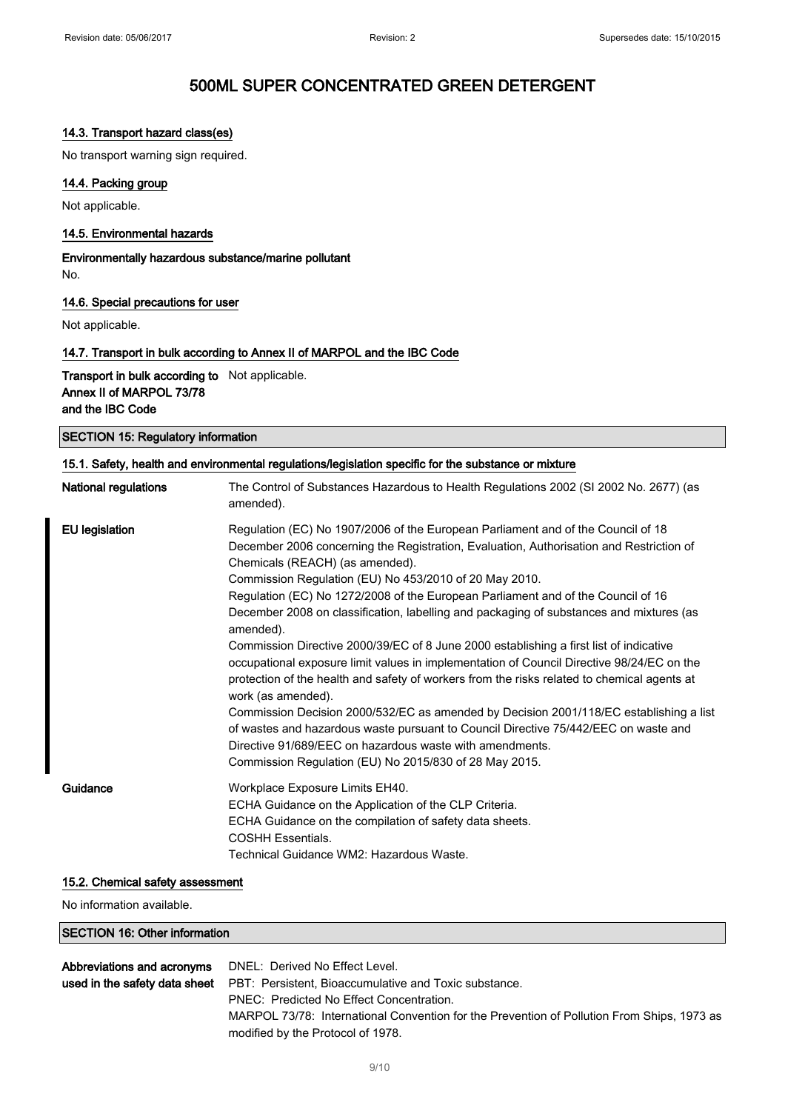### 14.3. Transport hazard class(es)

No transport warning sign required.

### 14.4. Packing group

Not applicable.

### 14.5. Environmental hazards

Environmentally hazardous substance/marine pollutant No.

### 14.6. Special precautions for user

Not applicable.

### 14.7. Transport in bulk according to Annex II of MARPOL and the IBC Code

Transport in bulk according to Not applicable. Annex II of MARPOL 73/78 and the IBC Code

SECTION 15: Regulatory information

| National regulations  | The Control of Substances Hazardous to Health Regulations 2002 (SI 2002 No. 2677) (as<br>amended).                                                                                                                                                                                                                                                                                                                                                                                                                                                                                                                                                                                                                                                                                                                                                                                                                                                                                                                                                                                      |
|-----------------------|-----------------------------------------------------------------------------------------------------------------------------------------------------------------------------------------------------------------------------------------------------------------------------------------------------------------------------------------------------------------------------------------------------------------------------------------------------------------------------------------------------------------------------------------------------------------------------------------------------------------------------------------------------------------------------------------------------------------------------------------------------------------------------------------------------------------------------------------------------------------------------------------------------------------------------------------------------------------------------------------------------------------------------------------------------------------------------------------|
| <b>EU</b> legislation | Regulation (EC) No 1907/2006 of the European Parliament and of the Council of 18<br>December 2006 concerning the Registration, Evaluation, Authorisation and Restriction of<br>Chemicals (REACH) (as amended).<br>Commission Regulation (EU) No 453/2010 of 20 May 2010.<br>Regulation (EC) No 1272/2008 of the European Parliament and of the Council of 16<br>December 2008 on classification, labelling and packaging of substances and mixtures (as<br>amended).<br>Commission Directive 2000/39/EC of 8 June 2000 establishing a first list of indicative<br>occupational exposure limit values in implementation of Council Directive 98/24/EC on the<br>protection of the health and safety of workers from the risks related to chemical agents at<br>work (as amended).<br>Commission Decision 2000/532/EC as amended by Decision 2001/118/EC establishing a list<br>of wastes and hazardous waste pursuant to Council Directive 75/442/EEC on waste and<br>Directive 91/689/EEC on hazardous waste with amendments.<br>Commission Regulation (EU) No 2015/830 of 28 May 2015. |
| Guidance              | Workplace Exposure Limits EH40.<br>ECHA Guidance on the Application of the CLP Criteria.<br>ECHA Guidance on the compilation of safety data sheets.<br><b>COSHH Essentials.</b><br>Technical Guidance WM2: Hazardous Waste.                                                                                                                                                                                                                                                                                                                                                                                                                                                                                                                                                                                                                                                                                                                                                                                                                                                             |

#### 15.2. Chemical safety assessment

No information available.

#### SECTION 16: Other information

| <b>Abbreviations and acronyms</b> DNEL: Derived No Effect Level.                           |
|--------------------------------------------------------------------------------------------|
| used in the safety data sheet PBT: Persistent, Bioaccumulative and Toxic substance.        |
| PNEC: Predicted No Effect Concentration.                                                   |
| MARPOL 73/78: International Convention for the Prevention of Pollution From Ships, 1973 as |
| modified by the Protocol of 1978.                                                          |